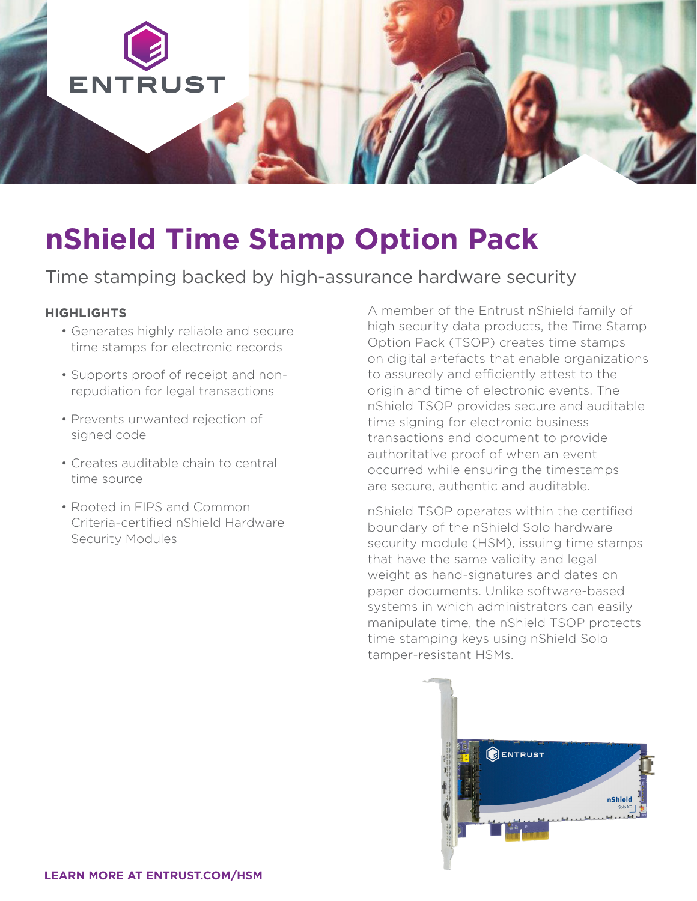

# **nShield Time Stamp Option Pack**

## Time stamping backed by high-assurance hardware security

#### **HIGHLIGHTS**

- Generates highly reliable and secure time stamps for electronic records
- Supports proof of receipt and nonrepudiation for legal transactions
- Prevents unwanted rejection of signed code
- Creates auditable chain to central time source
- Rooted in FIPS and Common Criteria-certified nShield Hardware Security Modules

A member of the Entrust nShield family of high security data products, the Time Stamp Option Pack (TSOP) creates time stamps on digital artefacts that enable organizations to assuredly and efficiently attest to the origin and time of electronic events. The nShield TSOP provides secure and auditable time signing for electronic business transactions and document to provide authoritative proof of when an event occurred while ensuring the timestamps are secure, authentic and auditable.

nShield TSOP operates within the certified boundary of the nShield Solo hardware security module (HSM), issuing time stamps that have the same validity and legal weight as hand-signatures and dates on paper documents. Unlike software-based systems in which administrators can easily manipulate time, the nShield TSOP protects time stamping keys using nShield Solo tamper-resistant HSMs.